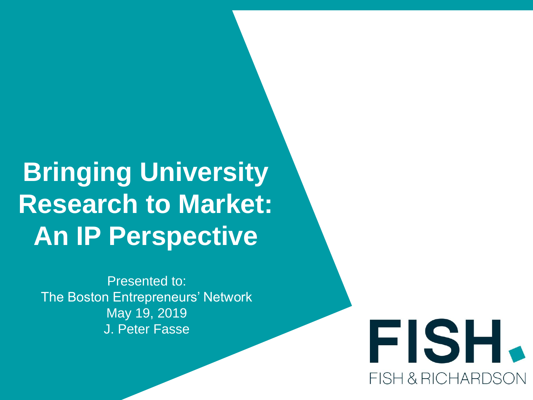# **Bringing University Research to Market: An IP Perspective**

Presented to: The Boston Entrepreneurs' Network May 19, 2019 J. Peter Fasse

FISH. **FISH & RICHARDSO**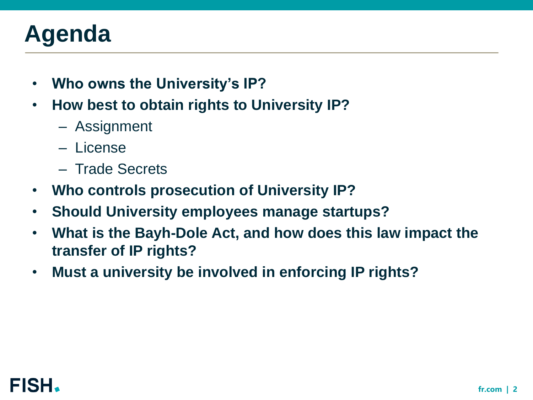# **Agenda**

- **Who owns the University's IP?**
- **How best to obtain rights to University IP?**
	- Assignment
	- License
	- Trade Secrets
- **Who controls prosecution of University IP?**
- **Should University employees manage startups?**
- **What is the Bayh-Dole Act, and how does this law impact the transfer of IP rights?**
- **Must a university be involved in enforcing IP rights?**

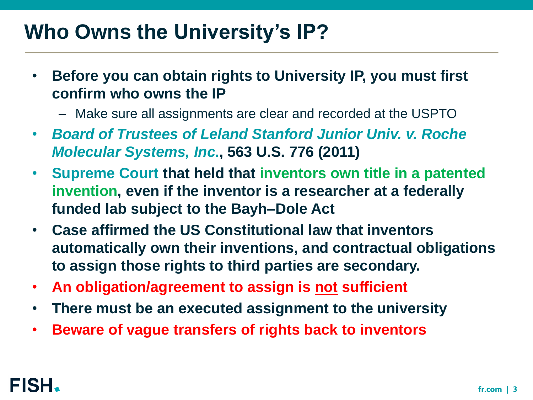### **Who Owns the University's IP?**

- **Before you can obtain rights to University IP, you must first confirm who owns the IP**
	- Make sure all assignments are clear and recorded at the USPTO
- *Board of Trustees of Leland Stanford Junior Univ. v. Roche Molecular Systems, Inc.***, 563 U.S. 776 (2011)**
- **Supreme Court that held that inventors own title in a patented invention, even if the inventor is a researcher at a federally funded lab subject to the Bayh–Dole Act**
- **Case affirmed the US Constitutional law that inventors automatically own their inventions, and contractual obligations to assign those rights to third parties are secondary.**
- **An obligation/agreement to assign is not sufficient**
- **There must be an executed assignment to the university**
- **Beware of vague transfers of rights back to inventors**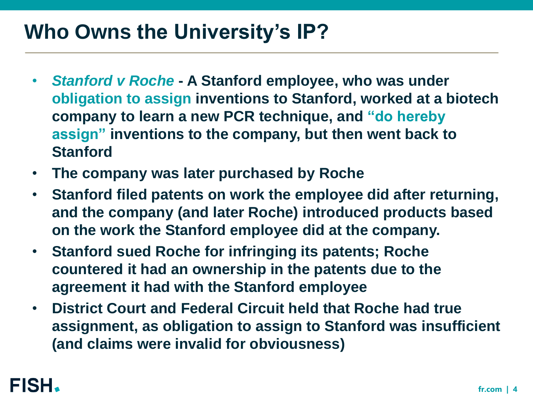### **Who Owns the University's IP?**

- *Stanford v Roche* **- A Stanford employee, who was under obligation to assign inventions to Stanford, worked at a biotech company to learn a new PCR technique, and "do hereby assign" inventions to the company, but then went back to Stanford**
- **The company was later purchased by Roche**
- **Stanford filed patents on work the employee did after returning, and the company (and later Roche) introduced products based on the work the Stanford employee did at the company.**
- **Stanford sued Roche for infringing its patents; Roche countered it had an ownership in the patents due to the agreement it had with the Stanford employee**
- **District Court and Federal Circuit held that Roche had true assignment, as obligation to assign to Stanford was insufficient (and claims were invalid for obviousness)**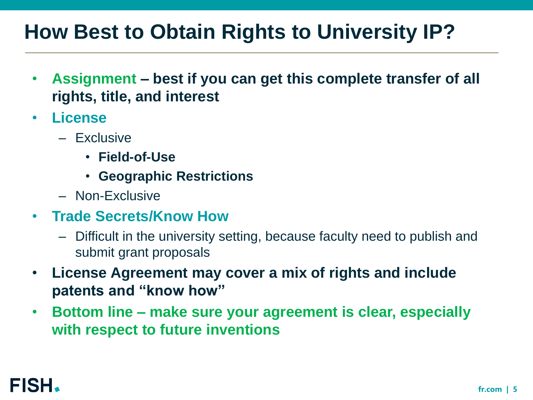### **How Best to Obtain Rights to University IP?**

- **Assignment – best if you can get this complete transfer of all rights, title, and interest**
- **License**
	- Exclusive
		- **Field-of-Use**
		- **Geographic Restrictions**
	- Non-Exclusive
- **Trade Secrets/Know How**
	- Difficult in the university setting, because faculty need to publish and submit grant proposals
- **License Agreement may cover a mix of rights and include patents and "know how"**
- **Bottom line – make sure your agreement is clear, especially with respect to future inventions**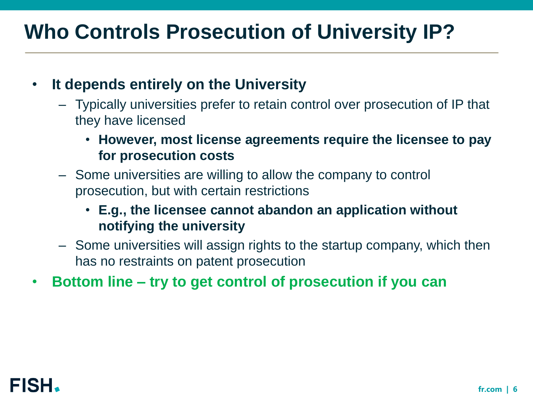# **Who Controls Prosecution of University IP?**

#### • **It depends entirely on the University**

- Typically universities prefer to retain control over prosecution of IP that they have licensed
	- **However, most license agreements require the licensee to pay for prosecution costs**
- Some universities are willing to allow the company to control prosecution, but with certain restrictions
	- **E.g., the licensee cannot abandon an application without notifying the university**
- Some universities will assign rights to the startup company, which then has no restraints on patent prosecution
- **Bottom line – try to get control of prosecution if you can**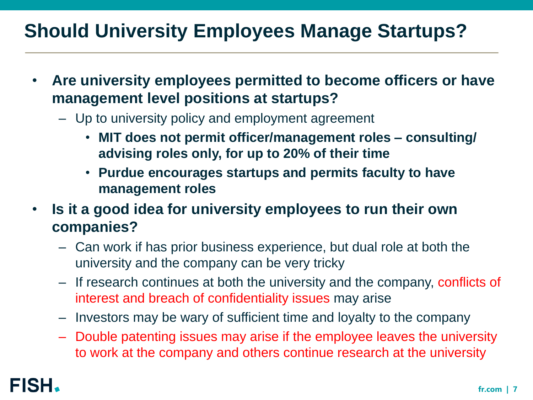### **Should University Employees Manage Startups?**

- **Are university employees permitted to become officers or have management level positions at startups?**
	- Up to university policy and employment agreement
		- **MIT does not permit officer/management roles – consulting/ advising roles only, for up to 20% of their time**
		- **Purdue encourages startups and permits faculty to have management roles**
- **Is it a good idea for university employees to run their own companies?**
	- Can work if has prior business experience, but dual role at both the university and the company can be very tricky
	- If research continues at both the university and the company, conflicts of interest and breach of confidentiality issues may arise
	- Investors may be wary of sufficient time and loyalty to the company
	- Double patenting issues may arise if the employee leaves the university to work at the company and others continue research at the university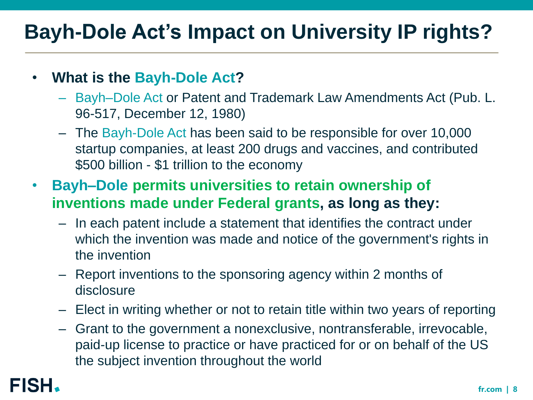#### • **What is the Bayh-Dole Act?**

- Bayh–Dole Act or Patent and Trademark Law Amendments Act (Pub. L. 96-517, December 12, 1980)
- The Bayh-Dole Act has been said to be responsible for over 10,000 startup companies, at least 200 drugs and vaccines, and contributed \$500 billion - \$1 trillion to the economy
- **Bayh–Dole permits universities to retain ownership of inventions made under Federal grants, as long as they:**
	- In each patent include a statement that identifies the contract under which the invention was made and notice of the government's rights in the invention
	- Report inventions to the sponsoring agency within 2 months of disclosure
	- Elect in writing whether or not to retain title within two years of reporting
	- Grant to the government a nonexclusive, nontransferable, irrevocable, paid-up license to practice or have practiced for or on behalf of the US the subject invention throughout the world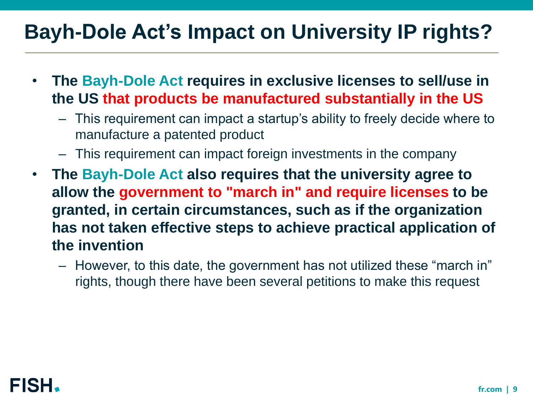- **The Bayh-Dole Act requires in exclusive licenses to sell/use in the US that products be manufactured substantially in the US**
	- This requirement can impact a startup's ability to freely decide where to manufacture a patented product
	- This requirement can impact foreign investments in the company
- **The Bayh-Dole Act also requires that the university agree to allow the government to "march in" and require licenses to be granted, in certain circumstances, such as if the organization has not taken effective steps to achieve practical application of the invention**
	- However, to this date, the government has not utilized these "march in" rights, though there have been several petitions to make this request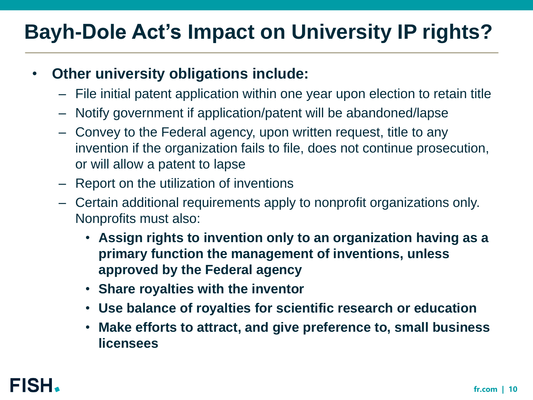#### • **Other university obligations include:**

- File initial patent application within one year upon election to retain title
- Notify government if application/patent will be abandoned/lapse
- Convey to the Federal agency, upon written request, title to any invention if the organization fails to file, does not continue prosecution, or will allow a patent to lapse
- Report on the utilization of inventions
- Certain additional requirements apply to nonprofit organizations only. Nonprofits must also:
	- **Assign rights to invention only to an organization having as a primary function the management of inventions, unless approved by the Federal agency**
	- **Share royalties with the inventor**
	- **Use balance of royalties for scientific research or education**
	- **Make efforts to attract, and give preference to, small business licensees**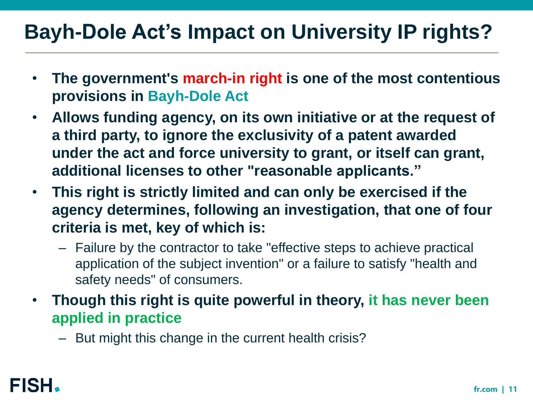- **The government's march-in right is one of the most contentious provisions in Bayh-Dole Act**
- **Allows funding agency, on its own initiative or at the request of a third party, to ignore the exclusivity of a patent awarded under the act and force university to grant, or itself can grant, additional licenses to other "reasonable applicants."**
- **This right is strictly limited and can only be exercised if the agency determines, following an investigation, that one of four criteria is met, key of which is:**
	- Failure by the contractor to take "effective steps to achieve practical application of the subject invention" or a failure to satisfy "health and safety needs" of consumers.
- **Though this right is quite powerful in theory, it has never been applied in practice**
	- But might this change in the current health crisis?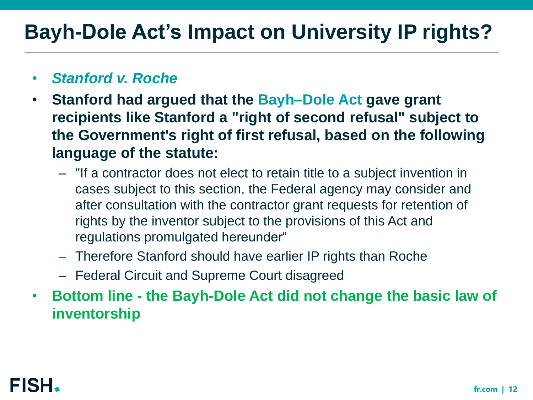#### • *Stanford v. Roche*

- **Stanford had argued that the Bayh–Dole Act gave grant recipients like Stanford a "right of second refusal" subject to the Government's right of first refusal, based on the following language of the statute:** 
	- "If a contractor does not elect to retain title to a subject invention in cases subject to this section, the Federal agency may consider and after consultation with the contractor grant requests for retention of rights by the inventor subject to the provisions of this Act and regulations promulgated hereunder"
	- Therefore Stanford should have earlier IP rights than Roche
	- Federal Circuit and Supreme Court disagreed
- **Bottom line - the Bayh-Dole Act did not change the basic law of inventorship**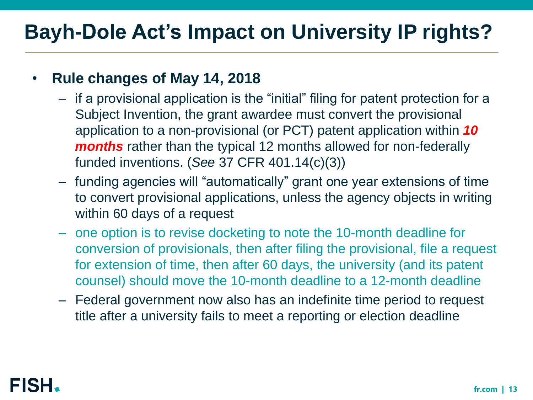#### • **Rule changes of May 14, 2018**

- if a provisional application is the "initial" filing for patent protection for a Subject Invention, the grant awardee must convert the provisional application to a non-provisional (or PCT) patent application within *10 months* rather than the typical 12 months allowed for non-federally funded inventions. (*See* 37 CFR 401.14(c)(3))
- funding agencies will "automatically" grant one year extensions of time to convert provisional applications, unless the agency objects in writing within 60 days of a request
- one option is to revise docketing to note the 10-month deadline for conversion of provisionals, then after filing the provisional, file a request for extension of time, then after 60 days, the university (and its patent counsel) should move the 10-month deadline to a 12-month deadline
- Federal government now also has an indefinite time period to request title after a university fails to meet a reporting or election deadline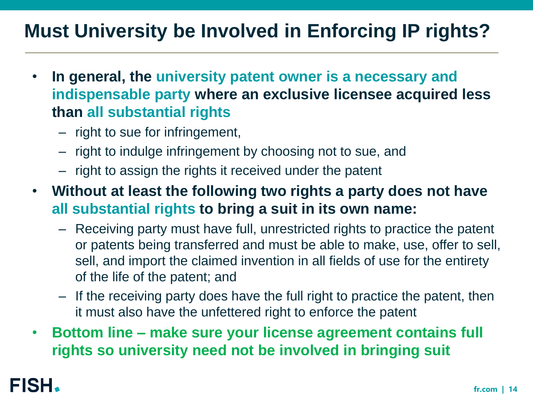### **Must University be Involved in Enforcing IP rights?**

- **In general, the university patent owner is a necessary and indispensable party where an exclusive licensee acquired less than all substantial rights**
	- right to sue for infringement,
	- right to indulge infringement by choosing not to sue, and
	- right to assign the rights it received under the patent
- **Without at least the following two rights a party does not have all substantial rights to bring a suit in its own name:**
	- Receiving party must have full, unrestricted rights to practice the patent or patents being transferred and must be able to make, use, offer to sell, sell, and import the claimed invention in all fields of use for the entirety of the life of the patent; and
	- If the receiving party does have the full right to practice the patent, then it must also have the unfettered right to enforce the patent
- **Bottom line – make sure your license agreement contains full rights so university need not be involved in bringing suit**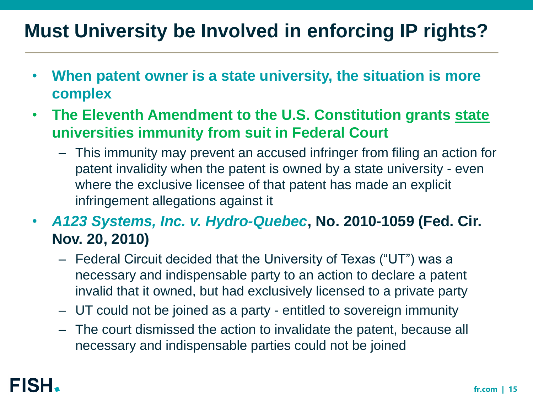### **Must University be Involved in enforcing IP rights?**

- **When patent owner is a state university, the situation is more complex**
- **The Eleventh Amendment to the U.S. Constitution grants state universities immunity from suit in Federal Court** 
	- This immunity may prevent an accused infringer from filing an action for patent invalidity when the patent is owned by a state university - even where the exclusive licensee of that patent has made an explicit infringement allegations against it
- *A123 Systems, Inc. v. Hydro-Quebec***, No. 2010-1059 (Fed. Cir. Nov. 20, 2010)** 
	- Federal Circuit decided that the University of Texas ("UT") was a necessary and indispensable party to an action to declare a patent invalid that it owned, but had exclusively licensed to a private party
	- UT could not be joined as a party entitled to sovereign immunity
	- The court dismissed the action to invalidate the patent, because all necessary and indispensable parties could not be joined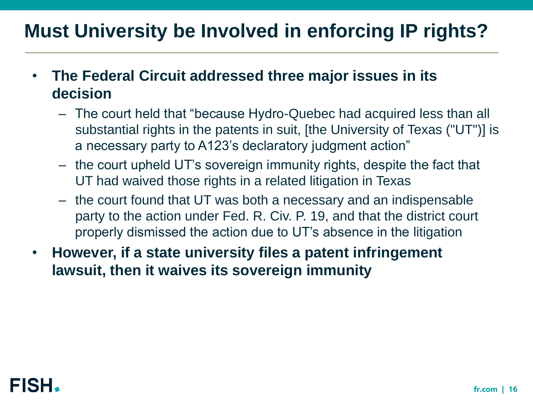#### **Must University be Involved in enforcing IP rights?**

- **The Federal Circuit addressed three major issues in its decision**
	- The court held that "because Hydro-Quebec had acquired less than all substantial rights in the patents in suit, [the University of Texas ("UT")] is a necessary party to A123's declaratory judgment action"
	- the court upheld UT's sovereign immunity rights, despite the fact that UT had waived those rights in a related litigation in Texas
	- the court found that UT was both a necessary and an indispensable party to the action under Fed. R. Civ. P. 19, and that the district court properly dismissed the action due to UT's absence in the litigation
- **However, if a state university files a patent infringement lawsuit, then it waives its sovereign immunity**

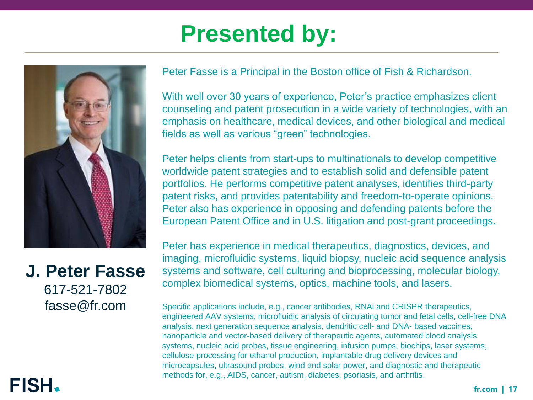# **Presented by:**



**J. Peter Fasse** 617-521-7802 fasse@fr.com

Peter Fasse is a Principal in the Boston office of Fish & Richardson.

With well over 30 years of experience, Peter's practice emphasizes client counseling and patent prosecution in a wide variety of technologies, with an emphasis on healthcare, medical devices, and other biological and medical fields as well as various "green" technologies.

Peter helps clients from start-ups to multinationals to develop competitive worldwide patent strategies and to establish solid and defensible patent portfolios. He performs competitive patent analyses, identifies third-party patent risks, and provides patentability and freedom-to-operate opinions. Peter also has experience in opposing and defending patents before the European Patent Office and in U.S. litigation and post-grant proceedings.

Peter has experience in medical therapeutics, diagnostics, devices, and imaging, microfluidic systems, liquid biopsy, nucleic acid sequence analysis systems and software, cell culturing and bioprocessing, molecular biology, complex biomedical systems, optics, machine tools, and lasers.

Specific applications include, e.g., cancer antibodies, RNAi and CRISPR therapeutics, engineered AAV systems, microfluidic analysis of circulating tumor and fetal cells, cell-free DNA analysis, next generation sequence analysis, dendritic cell- and DNA- based vaccines, nanoparticle and vector-based delivery of therapeutic agents, automated blood analysis systems, nucleic acid probes, tissue engineering, infusion pumps, biochips, laser systems, cellulose processing for ethanol production, implantable drug delivery devices and microcapsules, ultrasound probes, wind and solar power, and diagnostic and therapeutic methods for, e.g., AIDS, cancer, autism, diabetes, psoriasis, and arthritis.

#### **FISH**